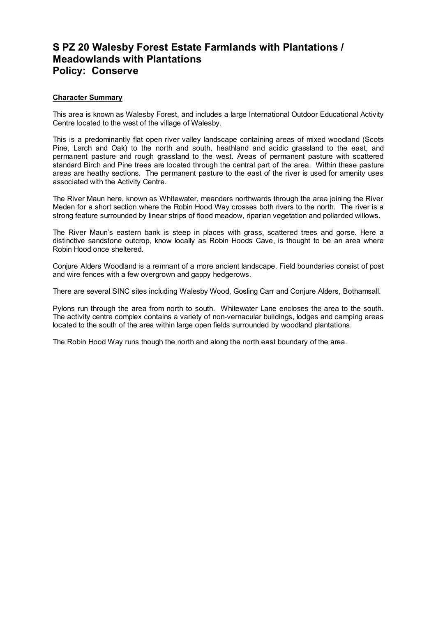## **S PZ 20 Walesby Forest Estate Farmlands with Plantations / Meadowlands with Plantations Policy: Conserve**

## **Character Summary**

This area is known as Walesby Forest, and includes a large International Outdoor Educational Activity Centre located to the west of the village of Walesby.

This is a predominantly flat open river valley landscape containing areas of mixed woodland (Scots Pine, Larch and Oak) to the north and south, heathland and acidic grassland to the east, and permanent pasture and rough grassland to the west. Areas of permanent pasture with scattered standard Birch and Pine trees are located through the central part of the area. Within these pasture areas are heathy sections. The permanent pasture to the east of the river is used for amenity uses associated with the Activity Centre.

The River Maun here, known as Whitewater, meanders northwards through the area joining the River Meden for a short section where the Robin Hood Way crosses both rivers to the north. The river is a strong feature surrounded by linear strips of flood meadow, riparian vegetation and pollarded willows.

The River Maun's eastern bank is steep in places with grass, scattered trees and gorse. Here a distinctive sandstone outcrop, know locally as Robin Hoods Cave, is thought to be an area where Robin Hood once sheltered.

Conjure Alders Woodland is a remnant of a more ancient landscape. Field boundaries consist of post and wire fences with a few overgrown and gappy hedgerows.

There are several SINC sites including Walesby Wood, Gosling Carr and Conjure Alders, Bothamsall.

Pylons run through the area from north to south. Whitewater Lane encloses the area to the south. The activity centre complex contains a variety of non-vernacular buildings, lodges and camping areas located to the south of the area within large open fields surrounded by woodland plantations.

The Robin Hood Way runs though the north and along the north east boundary of the area.